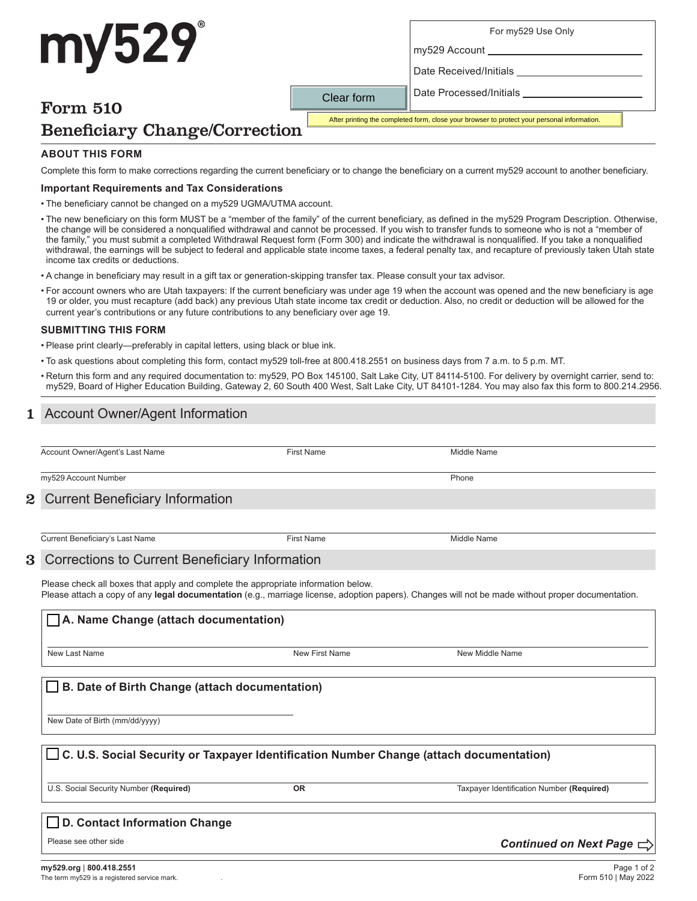## For my529 Use Only

my529 Account

Date Received/Initials

Date Processed/Initials

# Form 510

my529

After printing the completed form, close your browser to protect your personal information.

# Beneficiary Change/Correction

# **ABOUT THIS FORM**

Complete this form to make corrections regarding the current beneficiary or to change the beneficiary on a current my529 account to another beneficiary.

Clear form

### **Important Requirements and Tax Considerations**

• The beneficiary cannot be changed on a my529 UGMA/UTMA account.

• The new beneficiary on this form MUST be a "member of the family" of the current beneficiary, as defined in the my529 Program Description. Otherwise, the change will be considered a nonqualified withdrawal and cannot be processed. If you wish to transfer funds to someone who is not a "member of the family," you must submit a completed Withdrawal Request form (Form 300) and indicate the withdrawal is nonqualified. If you take a nonqualified withdrawal, the earnings will be subject to federal and applicable state income taxes, a federal penalty tax, and recapture of previously taken Utah state income tax credits or deductions.

- A change in beneficiary may result in a gift tax or generation-skipping transfer tax. Please consult your tax advisor.
- For account owners who are Utah taxpayers: If the current beneficiary was under age 19 when the account was opened and the new beneficiary is age 19 or older, you must recapture (add back) any previous Utah state income tax credit or deduction. Also, no credit or deduction will be allowed for the current year's contributions or any future contributions to any beneficiary over age 19.

### **SUBMITTING THIS FORM**

• Please print clearly—preferably in capital letters, using black or blue ink.

- To ask questions about completing this form, contact my529 toll-free at 800.418.2551 on business days from 7 a.m. to 5 p.m. MT.
- Return this form and any required documentation to: my529, PO Box 145100, Salt Lake City, UT 84114-5100. For delivery by overnight carrier, send to: my529, Board of Higher Education Building, Gateway 2, 60 South 400 West, Salt Lake City, UT 84101-1284. You may also fax this form to 800.214.2956.

# **Account Owner/Agent Information**

| Account Owner/Agent's Last Name | Name | Name<br>Middle |
|---------------------------------|------|----------------|

my529 Account Number Phone

#### Current Beneficiary Information 2

Current Beneficiary's Last Name **First Name** First Name **First Name** Middle Name

#### Corrections to Current Beneficiary Information 3

Please check all boxes that apply and complete the appropriate information below. Please attach a copy of any **legal documentation** (e.g., marriage license, adoption papers). Changes will not be made without proper documentation.

# **A. Name Change (attach documentation)**

New Last Name New First Name New Middle Name

# **B. Date of Birth Change (attach documentation)**

New Date of Birth (mm/dd/yyyy)

# **C. U.S. Social Security or Taxpayer Identification Number Change (attach documentation)**

U.S. Social Security Number **(Required) OR** Taxpayer Identification Number **(Required)**

*Continued on Next Page* 

# **D. Contact Information Change**

Please see other side